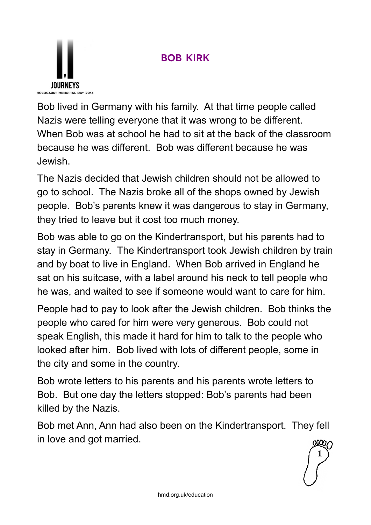



Bob lived in Germany with his family. At that time people called Nazis were telling everyone that it was wrong to be different. When Bob was at school he had to sit at the back of the classroom because he was different. Bob was different because he was Jewish.

The Nazis decided that Jewish children should not be allowed to go to school. The Nazis broke all of the shops owned by Jewish people. Bob's parents knew it was dangerous to stay in Germany, they tried to leave but it cost too much money.

Bob was able to go on the Kindertransport, but his parents had to stay in Germany. The Kindertransport took Jewish children by train and by boat to live in England. When Bob arrived in England he sat on his suitcase, with a label around his neck to tell people who he was, and waited to see if someone would want to care for him.

People had to pay to look after the Jewish children. Bob thinks the people who cared for him were very generous. Bob could not speak English, this made it hard for him to talk to the people who looked after him. Bob lived with lots of different people, some in the city and some in the country.

Bob wrote letters to his parents and his parents wrote letters to Bob. But one day the letters stopped: Bob's parents had been killed by the Nazis.

Bob met Ann, Ann had also been on the Kindertransport. They fell in love and got married.